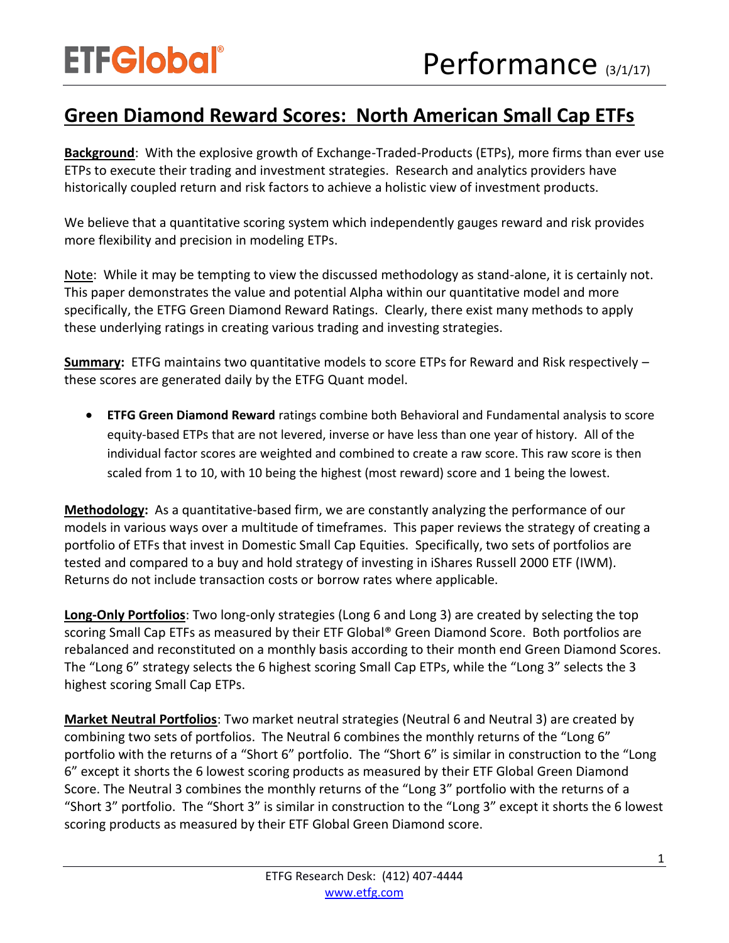## **Green Diamond Reward Scores: North American Small Cap ETFs**

**Background**: With the explosive growth of Exchange-Traded-Products (ETPs), more firms than ever use ETPs to execute their trading and investment strategies. Research and analytics providers have historically coupled return and risk factors to achieve a holistic view of investment products.

We believe that a quantitative scoring system which independently gauges reward and risk provides more flexibility and precision in modeling ETPs.

Note: While it may be tempting to view the discussed methodology as stand-alone, it is certainly not. This paper demonstrates the value and potential Alpha within our quantitative model and more specifically, the ETFG Green Diamond Reward Ratings. Clearly, there exist many methods to apply these underlying ratings in creating various trading and investing strategies.

**Summary:** ETFG maintains two quantitative models to score ETPs for Reward and Risk respectively – these scores are generated daily by the ETFG Quant model.

 **ETFG Green Diamond Reward** ratings combine both Behavioral and Fundamental analysis to score equity-based ETPs that are not levered, inverse or have less than one year of history. All of the individual factor scores are weighted and combined to create a raw score. This raw score is then scaled from 1 to 10, with 10 being the highest (most reward) score and 1 being the lowest.

**Methodology:** As a quantitative-based firm, we are constantly analyzing the performance of our models in various ways over a multitude of timeframes. This paper reviews the strategy of creating a portfolio of ETFs that invest in Domestic Small Cap Equities. Specifically, two sets of portfolios are tested and compared to a buy and hold strategy of investing in iShares Russell 2000 ETF (IWM). Returns do not include transaction costs or borrow rates where applicable.

**Long-Only Portfolios**: Two long-only strategies (Long 6 and Long 3) are created by selecting the top scoring Small Cap ETFs as measured by their ETF Global® Green Diamond Score. Both portfolios are rebalanced and reconstituted on a monthly basis according to their month end Green Diamond Scores. The "Long 6" strategy selects the 6 highest scoring Small Cap ETPs, while the "Long 3" selects the 3 highest scoring Small Cap ETPs.

**Market Neutral Portfolios**: Two market neutral strategies (Neutral 6 and Neutral 3) are created by combining two sets of portfolios. The Neutral 6 combines the monthly returns of the "Long 6" portfolio with the returns of a "Short 6" portfolio. The "Short 6" is similar in construction to the "Long 6" except it shorts the 6 lowest scoring products as measured by their ETF Global Green Diamond Score. The Neutral 3 combines the monthly returns of the "Long 3" portfolio with the returns of a "Short 3" portfolio. The "Short 3" is similar in construction to the "Long 3" except it shorts the 6 lowest scoring products as measured by their ETF Global Green Diamond score.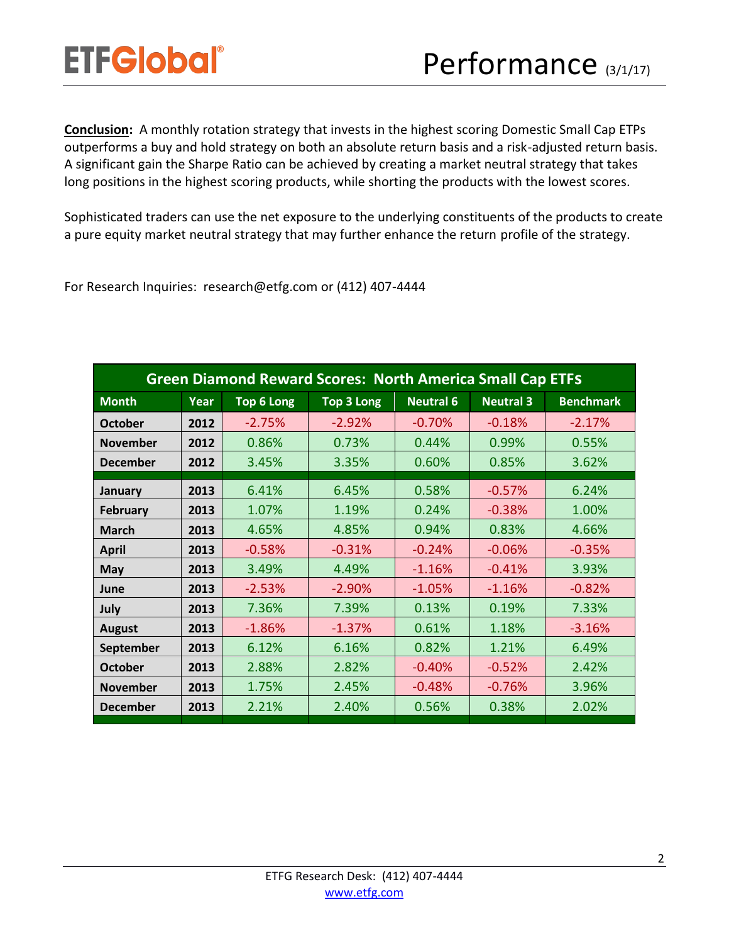**Conclusion:** A monthly rotation strategy that invests in the highest scoring Domestic Small Cap ETPs outperforms a buy and hold strategy on both an absolute return basis and a risk-adjusted return basis. A significant gain the Sharpe Ratio can be achieved by creating a market neutral strategy that takes long positions in the highest scoring products, while shorting the products with the lowest scores.

Sophisticated traders can use the net exposure to the underlying constituents of the products to create a pure equity market neutral strategy that may further enhance the return profile of the strategy.

For Research Inquiries: research@etfg.com or (412) 407-4444

| <b>Green Diamond Reward Scores: North America Small Cap ETFS</b> |      |                   |                   |                  |                  |                  |
|------------------------------------------------------------------|------|-------------------|-------------------|------------------|------------------|------------------|
| <b>Month</b>                                                     | Year | <b>Top 6 Long</b> | <b>Top 3 Long</b> | <b>Neutral 6</b> | <b>Neutral 3</b> | <b>Benchmark</b> |
| <b>October</b>                                                   | 2012 | $-2.75%$          | $-2.92%$          | $-0.70%$         | $-0.18%$         | $-2.17%$         |
| <b>November</b>                                                  | 2012 | 0.86%             | 0.73%             | 0.44%            | 0.99%            | 0.55%            |
| <b>December</b>                                                  | 2012 | 3.45%             | 3.35%             | 0.60%            | 0.85%            | 3.62%            |
| January                                                          | 2013 | 6.41%             | 6.45%             | 0.58%            | $-0.57%$         | 6.24%            |
| <b>February</b>                                                  | 2013 | 1.07%             | 1.19%             | 0.24%            | $-0.38%$         | 1.00%            |
| <b>March</b>                                                     | 2013 | 4.65%             | 4.85%             | 0.94%            | 0.83%            | 4.66%            |
| <b>April</b>                                                     | 2013 | $-0.58%$          | $-0.31%$          | $-0.24%$         | $-0.06%$         | $-0.35%$         |
| <b>May</b>                                                       | 2013 | 3.49%             | 4.49%             | $-1.16%$         | $-0.41%$         | 3.93%            |
| June                                                             | 2013 | $-2.53%$          | $-2.90%$          | $-1.05%$         | $-1.16%$         | $-0.82%$         |
| July                                                             | 2013 | 7.36%             | 7.39%             | 0.13%            | 0.19%            | 7.33%            |
| <b>August</b>                                                    | 2013 | $-1.86%$          | $-1.37%$          | 0.61%            | 1.18%            | $-3.16%$         |
| September                                                        | 2013 | 6.12%             | 6.16%             | 0.82%            | 1.21%            | 6.49%            |
| <b>October</b>                                                   | 2013 | 2.88%             | 2.82%             | $-0.40%$         | $-0.52%$         | 2.42%            |
| <b>November</b>                                                  | 2013 | 1.75%             | 2.45%             | $-0.48%$         | $-0.76%$         | 3.96%            |
| <b>December</b>                                                  | 2013 | 2.21%             | 2.40%             | 0.56%            | 0.38%            | 2.02%            |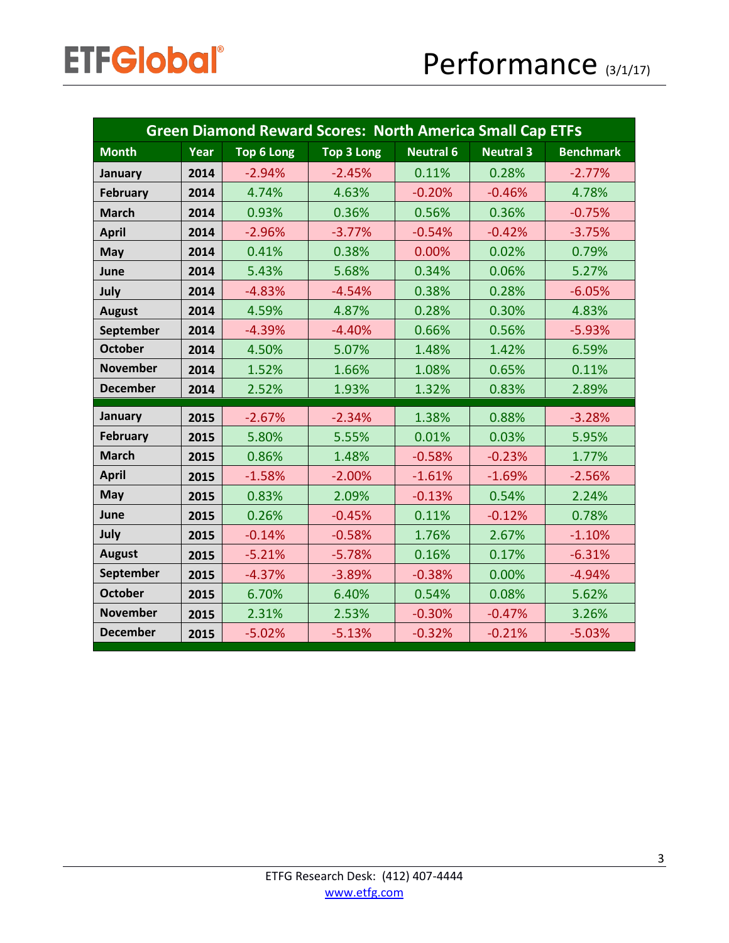| <b>Green Diamond Reward Scores: North America Small Cap ETFS</b> |      |                   |                   |                  |                  |                  |
|------------------------------------------------------------------|------|-------------------|-------------------|------------------|------------------|------------------|
| <b>Month</b>                                                     | Year | <b>Top 6 Long</b> | <b>Top 3 Long</b> | <b>Neutral 6</b> | <b>Neutral 3</b> | <b>Benchmark</b> |
| January                                                          | 2014 | $-2.94%$          | $-2.45%$          | 0.11%            | 0.28%            | $-2.77%$         |
| February                                                         | 2014 | 4.74%             | 4.63%             | $-0.20%$         | $-0.46%$         | 4.78%            |
| <b>March</b>                                                     | 2014 | 0.93%             | 0.36%             | 0.56%            | 0.36%            | $-0.75%$         |
| <b>April</b>                                                     | 2014 | $-2.96%$          | $-3.77%$          | $-0.54%$         | $-0.42%$         | $-3.75%$         |
| <b>May</b>                                                       | 2014 | 0.41%             | 0.38%             | 0.00%            | 0.02%            | 0.79%            |
| June                                                             | 2014 | 5.43%             | 5.68%             | 0.34%            | 0.06%            | 5.27%            |
| July                                                             | 2014 | $-4.83%$          | $-4.54%$          | 0.38%            | 0.28%            | $-6.05%$         |
| <b>August</b>                                                    | 2014 | 4.59%             | 4.87%             | 0.28%            | 0.30%            | 4.83%            |
| September                                                        | 2014 | $-4.39%$          | $-4.40%$          | 0.66%            | 0.56%            | $-5.93%$         |
| <b>October</b>                                                   | 2014 | 4.50%             | 5.07%             | 1.48%            | 1.42%            | 6.59%            |
| <b>November</b>                                                  | 2014 | 1.52%             | 1.66%             | 1.08%            | 0.65%            | 0.11%            |
| <b>December</b>                                                  | 2014 | 2.52%             | 1.93%             | 1.32%            | 0.83%            | 2.89%            |
| January                                                          | 2015 | $-2.67%$          | $-2.34%$          | 1.38%            | 0.88%            | $-3.28%$         |
| February                                                         | 2015 | 5.80%             | 5.55%             | 0.01%            | 0.03%            | 5.95%            |
| <b>March</b>                                                     | 2015 | 0.86%             | 1.48%             | $-0.58%$         | $-0.23%$         | 1.77%            |
| <b>April</b>                                                     | 2015 | $-1.58%$          | $-2.00%$          | $-1.61%$         | $-1.69%$         | $-2.56%$         |
| May                                                              | 2015 | 0.83%             | 2.09%             | $-0.13%$         | 0.54%            | 2.24%            |
| June                                                             | 2015 | 0.26%             | $-0.45%$          | 0.11%            | $-0.12%$         | 0.78%            |
| July                                                             | 2015 | $-0.14%$          | $-0.58%$          | 1.76%            | 2.67%            | $-1.10%$         |
| <b>August</b>                                                    | 2015 | $-5.21%$          | $-5.78%$          | 0.16%            | 0.17%            | $-6.31%$         |
| September                                                        | 2015 | $-4.37%$          | $-3.89%$          | $-0.38%$         | 0.00%            | $-4.94%$         |
| <b>October</b>                                                   | 2015 | 6.70%             | 6.40%             | 0.54%            | 0.08%            | 5.62%            |
| <b>November</b>                                                  | 2015 | 2.31%             | 2.53%             | $-0.30%$         | $-0.47%$         | 3.26%            |
| <b>December</b>                                                  | 2015 | $-5.02%$          | $-5.13%$          | $-0.32%$         | $-0.21%$         | $-5.03%$         |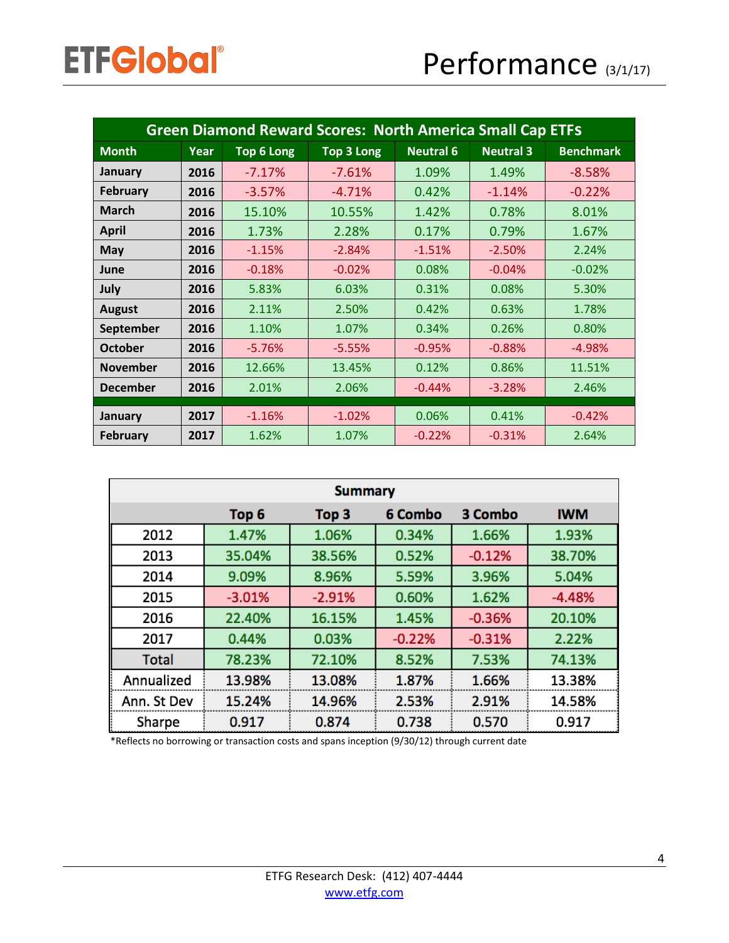| <b>Green Diamond Reward Scores: North America Small Cap ETFS</b> |      |            |                   |                  |                  |                  |
|------------------------------------------------------------------|------|------------|-------------------|------------------|------------------|------------------|
| <b>Month</b>                                                     | Year | Top 6 Long | <b>Top 3 Long</b> | <b>Neutral 6</b> | <b>Neutral 3</b> | <b>Benchmark</b> |
| January                                                          | 2016 | $-7.17%$   | $-7.61%$          | 1.09%            | 1.49%            | $-8.58%$         |
| <b>February</b>                                                  | 2016 | $-3.57%$   | $-4.71%$          | 0.42%            | $-1.14%$         | $-0.22%$         |
| <b>March</b>                                                     | 2016 | 15.10%     | 10.55%            | 1.42%            | 0.78%            | 8.01%            |
| <b>April</b>                                                     | 2016 | 1.73%      | 2.28%             | 0.17%            | 0.79%            | 1.67%            |
| May                                                              | 2016 | $-1.15%$   | $-2.84%$          | $-1.51%$         | $-2.50%$         | 2.24%            |
| June                                                             | 2016 | $-0.18%$   | $-0.02%$          | 0.08%            | $-0.04%$         | $-0.02%$         |
| July                                                             | 2016 | 5.83%      | 6.03%             | 0.31%            | 0.08%            | 5.30%            |
| <b>August</b>                                                    | 2016 | 2.11%      | 2.50%             | 0.42%            | 0.63%            | 1.78%            |
| September                                                        | 2016 | 1.10%      | 1.07%             | 0.34%            | 0.26%            | 0.80%            |
| <b>October</b>                                                   | 2016 | $-5.76%$   | $-5.55%$          | $-0.95%$         | $-0.88%$         | $-4.98%$         |
| <b>November</b>                                                  | 2016 | 12.66%     | 13.45%            | 0.12%            | 0.86%            | 11.51%           |
| <b>December</b>                                                  | 2016 | 2.01%      | 2.06%             | $-0.44%$         | $-3.28%$         | 2.46%            |
| January                                                          | 2017 | $-1.16%$   | $-1.02%$          | 0.06%            | 0.41%            | $-0.42%$         |
| <b>February</b>                                                  | 2017 | 1.62%      | 1.07%             | $-0.22%$         | $-0.31%$         | 2.64%            |

| <b>Summary</b> |                  |                  |          |          |            |  |
|----------------|------------------|------------------|----------|----------|------------|--|
|                | Top <sub>6</sub> | Top <sub>3</sub> | 6 Combo  | 3 Combo  | <b>IWM</b> |  |
| 2012           | 1.47%            | 1.06%            | 0.34%    | 1.66%    | 1.93%      |  |
| 2013           | 35.04%           | 38.56%           | 0.52%    | $-0.12%$ | 38.70%     |  |
| 2014           | 9.09%            | 8.96%            | 5.59%    | 3.96%    | 5.04%      |  |
| 2015           | $-3.01%$         | $-2.91%$         | 0.60%    | 1.62%    | $-4.48%$   |  |
| 2016           | 22.40%           | 16.15%           | 1.45%    | $-0.36%$ | 20.10%     |  |
| 2017           | 0.44%            | 0.03%            | $-0.22%$ | $-0.31%$ | 2.22%      |  |
| <b>Total</b>   | 78.23%           | 72.10%           | 8.52%    | 7.53%    | 74.13%     |  |
| Annualized     | 13.98%           | 13.08%           | 1.87%    | 1.66%    | 13.38%     |  |
| Ann. St Dev    | 15.24%           | 14.96%           | 2.53%    | 2.91%    | 14.58%     |  |
| Sharpe         | 0.917            | 0.874            | 0.738    | 0.570    | 0.917      |  |

\*Reflects no borrowing or transaction costs and spans inception (9/30/12) through current date